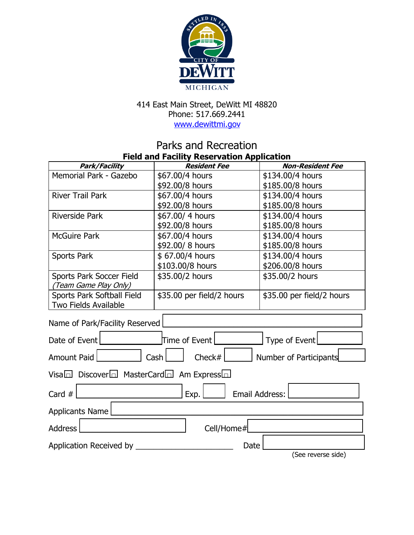

## 414 East Main Street, DeWitt MI 48820 Phone: 517.669.2441 [www.dewittmi.](http://www.dewittmi.org/)gov

## Parks and Recreation **Field and Facility Reservation Application**

| Park/Facility                                                     | <b>Resident Fee</b>       | <b>Non-Resident Fee</b>   |
|-------------------------------------------------------------------|---------------------------|---------------------------|
| Memorial Park - Gazebo                                            | \$67.00/4 hours           | \$134.00/4 hours          |
|                                                                   | \$92.00/8 hours           | \$185.00/8 hours          |
| <b>River Trail Park</b>                                           | \$67.00/4 hours           | \$134.00/4 hours          |
|                                                                   | \$92.00/8 hours           | \$185.00/8 hours          |
| <b>Riverside Park</b>                                             | \$67.00/4 hours           | \$134.00/4 hours          |
|                                                                   | \$92.00/8 hours           | \$185.00/8 hours          |
| <b>McGuire Park</b>                                               | \$67.00/4 hours           | \$134.00/4 hours          |
|                                                                   | \$92.00/8 hours           | \$185.00/8 hours          |
| <b>Sports Park</b>                                                | \$67.00/4 hours           | \$134.00/4 hours          |
|                                                                   | \$103.00/8 hours          | \$206.00/8 hours          |
| <b>Sports Park Soccer Field</b>                                   | \$35.00/2 hours           | \$35.00/2 hours           |
| (Team Game Play Only)                                             |                           |                           |
| Sports Park Softball Field                                        | \$35.00 per field/2 hours | \$35.00 per field/2 hours |
| Two Fields Available                                              |                           |                           |
| Name of Park/Facility Reserved                                    |                           |                           |
| Date of Event                                                     | Time of Event             | Type of Event             |
| Check $#$<br><b>Amount Paid</b><br>Cash<br>Number of Participants |                           |                           |
| Visa $\Box$ Discover $\Box$ MasterCard $\Box$ Am Express $\Box$   |                           |                           |
| Email Address:<br>Card $#$<br>Exp.                                |                           |                           |
| <b>Applicants Name</b>                                            |                           |                           |
| Cell/Home#<br><b>Address</b>                                      |                           |                           |
| Application Received by                                           | Date                      |                           |
|                                                                   |                           | (See reverse side)        |